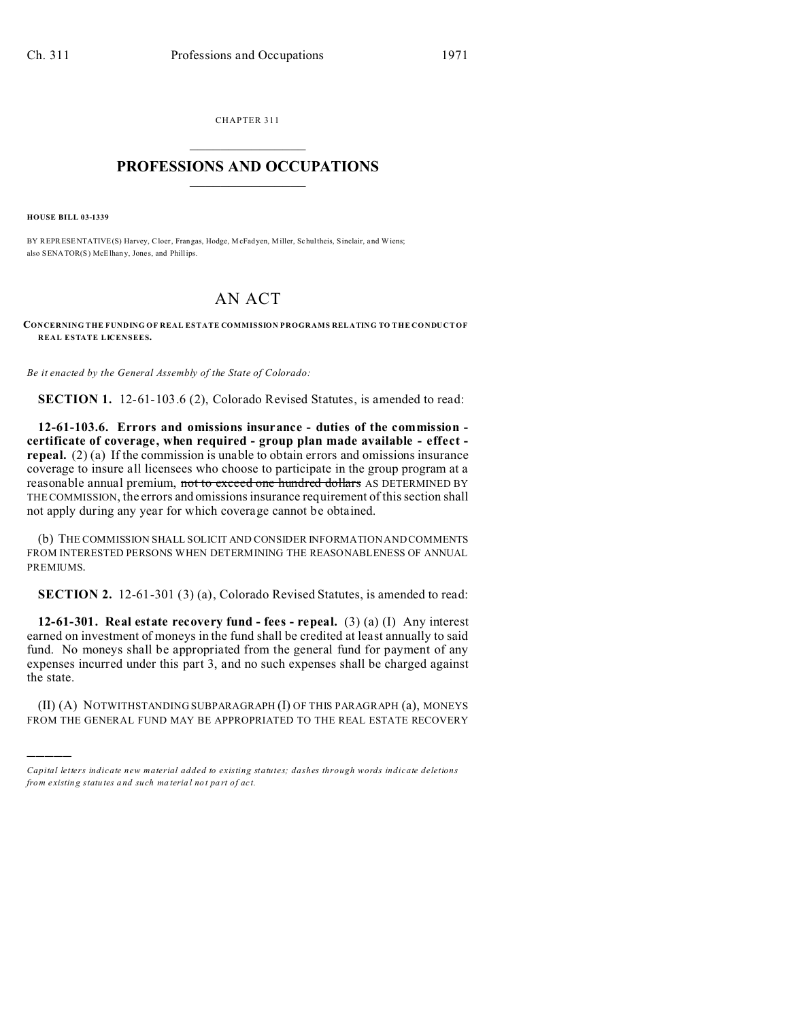CHAPTER 311  $\overline{\phantom{a}}$  , where  $\overline{\phantom{a}}$ 

## **PROFESSIONS AND OCCUPATIONS**  $\frac{1}{2}$  ,  $\frac{1}{2}$  ,  $\frac{1}{2}$  ,  $\frac{1}{2}$  ,  $\frac{1}{2}$  ,  $\frac{1}{2}$

**HOUSE BILL 03-1339**

)))))

BY REPRESENTATIVE(S) Harvey, Cloer, Frangas, Hodge, McFadyen, Miller, Schultheis, Sinclair, and Wiens; also SENATOR(S) McElhany, Jones, and Phillips.

## AN ACT

**CONCERNING THE FUNDING OF REAL ESTATE COMMISSION PROGRAMS RELATING TO THE CONDUCT OF REAL ESTATE LICENSEES.**

*Be it enacted by the General Assembly of the State of Colorado:*

**SECTION 1.** 12-61-103.6 (2), Colorado Revised Statutes, is amended to read:

**12-61-103.6. Errors and omissions insurance - duties of the commission certificate of coverage, when required - group plan made available - effect repeal.** (2) (a) If the commission is unable to obtain errors and omissions insurance coverage to insure all licensees who choose to participate in the group program at a reasonable annual premium, not to exceed one hundred dollars AS DETERMINED BY THE COMMISSION, the errors and omissions insurance requirement of this section shall not apply during any year for which coverage cannot be obtained.

(b) THE COMMISSION SHALL SOLICIT AND CONSIDER INFORMATION AND COMMENTS FROM INTERESTED PERSONS WHEN DETERMINING THE REASONABLENESS OF ANNUAL PREMIUMS.

**SECTION 2.** 12-61-301 (3) (a), Colorado Revised Statutes, is amended to read:

**12-61-301. Real estate recovery fund - fees - repeal.** (3) (a) (I) Any interest earned on investment of moneys in the fund shall be credited at least annually to said fund. No moneys shall be appropriated from the general fund for payment of any expenses incurred under this part 3, and no such expenses shall be charged against the state.

(II) (A) NOTWITHSTANDING SUBPARAGRAPH (I) OF THIS PARAGRAPH (a), MONEYS FROM THE GENERAL FUND MAY BE APPROPRIATED TO THE REAL ESTATE RECOVERY

*Capital letters indicate new material added to existing statutes; dashes through words indicate deletions from e xistin g statu tes a nd such ma teria l no t pa rt of ac t.*